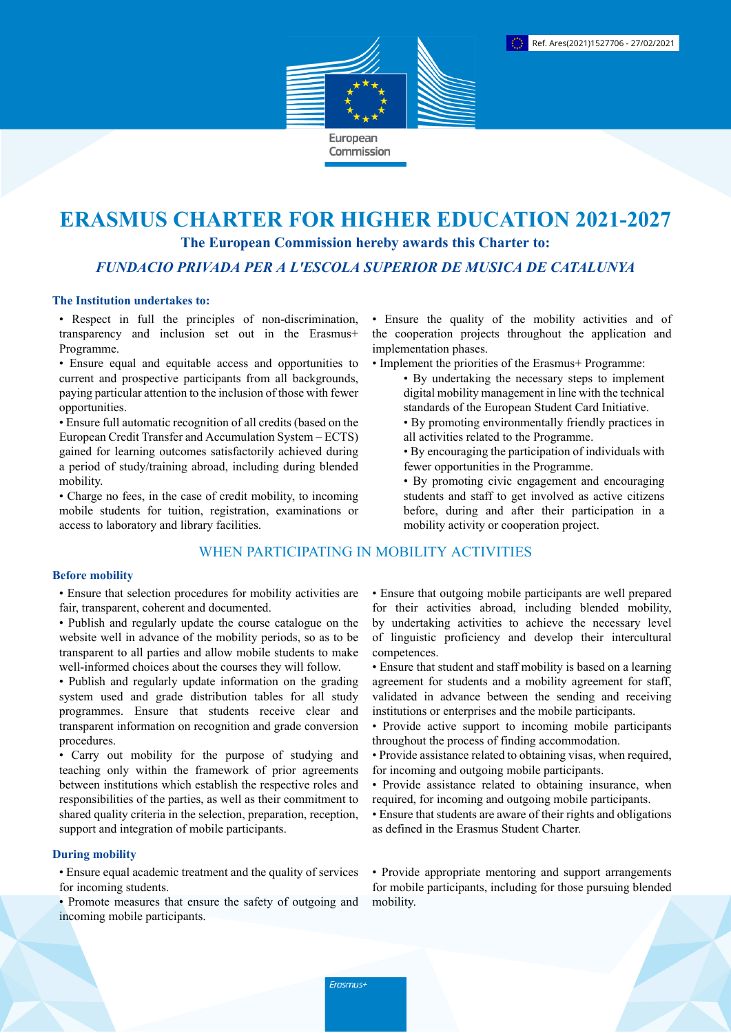

# **ERASMUS CHARTER FOR HIGHER EDUCATION 2021-2027**

**The European Commission hereby awards this Charter to:**

*FUNDACIO PRIVADA PER A L'ESCOLA SUPERIOR DE MUSICA DE CATALUNYA*

### **The Institution undertakes to:**

• Respect in full the principles of non-discrimination, transparency and inclusion set out in the Erasmus+ Programme.

• Ensure equal and equitable access and opportunities to current and prospective participants from all backgrounds, paying particular attention to the inclusion of those with fewer opportunities.

• Ensure full automatic recognition of all credits (based on the European Credit Transfer and Accumulation System – ECTS) gained for learning outcomes satisfactorily achieved during a period of study/training abroad, including during blended mobility.

• Charge no fees, in the case of credit mobility, to incoming mobile students for tuition, registration, examinations or access to laboratory and library facilities.

# WHEN PARTICIPATING IN MOBILITY ACTIVITIES

#### **Before mobility**

• Ensure that selection procedures for mobility activities are fair, transparent, coherent and documented.

- Publish and regularly update the course catalogue on the website well in advance of the mobility periods, so as to be transparent to all parties and allow mobile students to make well-informed choices about the courses they will follow.
- Publish and regularly update information on the grading system used and grade distribution tables for all study programmes. Ensure that students receive clear and transparent information on recognition and grade conversion procedures.

• Carry out mobility for the purpose of studying and teaching only within the framework of prior agreements between institutions which establish the respective roles and responsibilities of the parties, as well as their commitment to shared quality criteria in the selection, preparation, reception, support and integration of mobile participants.

### **During mobility**

• Ensure equal academic treatment and the quality of services for incoming students.

• Promote measures that ensure the safety of outgoing and incoming mobile participants.

• Ensure the quality of the mobility activities and of the cooperation projects throughout the application and implementation phases.

- Implement the priorities of the Erasmus+ Programme:
	- By undertaking the necessary steps to implement digital mobility management in line with the technical standards of the European Student Card Initiative.
	- By promoting environmentally friendly practices in all activities related to the Programme.
	- By encouraging the participation of individuals with fewer opportunities in the Programme.
	- By promoting civic engagement and encouraging students and staff to get involved as active citizens before, during and after their participation in a mobility activity or cooperation project.

• Ensure that outgoing mobile participants are well prepared for their activities abroad, including blended mobility, by undertaking activities to achieve the necessary level of linguistic proficiency and develop their intercultural competences.

- Ensure that student and staff mobility is based on a learning agreement for students and a mobility agreement for staff, validated in advance between the sending and receiving institutions or enterprises and the mobile participants.
- Provide active support to incoming mobile participants throughout the process of finding accommodation.
- Provide assistance related to obtaining visas, when required, for incoming and outgoing mobile participants.
- Provide assistance related to obtaining insurance, when required, for incoming and outgoing mobile participants.
- Ensure that students are aware of their rights and obligations as defined in the Erasmus Student Charter.

• Provide appropriate mentoring and support arrangements for mobile participants, including for those pursuing blended mobility.

Erasmus+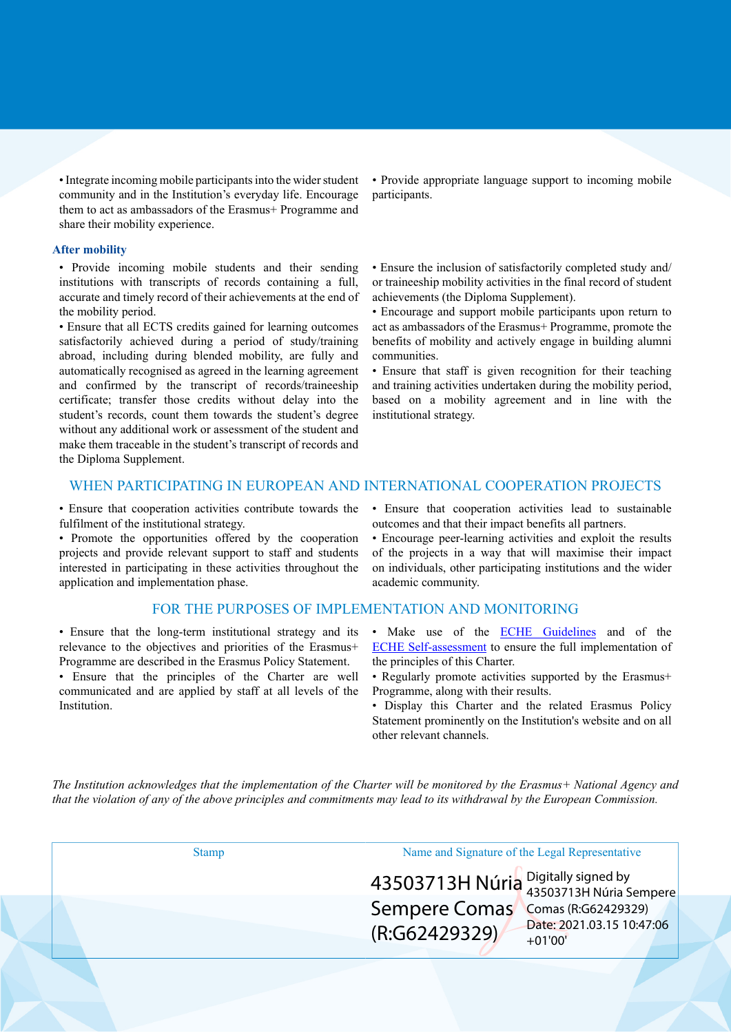• Integrate incoming mobile participants into the wider student community and in the Institution's everyday life. Encourage them to act as ambassadors of the Erasmus+ Programme and share their mobility experience.

#### **After mobility**

• Provide incoming mobile students and their sending institutions with transcripts of records containing a full, accurate and timely record of their achievements at the end of the mobility period.

• Ensure that all ECTS credits gained for learning outcomes satisfactorily achieved during a period of study/training abroad, including during blended mobility, are fully and automatically recognised as agreed in the learning agreement and confirmed by the transcript of records/traineeship certificate; transfer those credits without delay into the student's records, count them towards the student's degree without any additional work or assessment of the student and make them traceable in the student's transcript of records and the Diploma Supplement.

• Provide appropriate language support to incoming mobile participants.

• Ensure the inclusion of satisfactorily completed study and/ or traineeship mobility activities in the final record of student achievements (the Diploma Supplement).

• Encourage and support mobile participants upon return to act as ambassadors of the Erasmus+ Programme, promote the benefits of mobility and actively engage in building alumni communities.

• Ensure that staff is given recognition for their teaching and training activities undertaken during the mobility period, based on a mobility agreement and in line with the institutional strategy.

## WHEN PARTICIPATING IN EUROPEAN AND INTERNATIONAL COOPERATION PROJECTS

• Ensure that cooperation activities contribute towards the fulfilment of the institutional strategy.

• Promote the opportunities offered by the cooperation projects and provide relevant support to staff and students interested in participating in these activities throughout the application and implementation phase.

#### FOR THE PURPOSES OF IMPLEMENTATION AND MONITORING

• Ensure that the long-term institutional strategy and its relevance to the objectives and priorities of the Erasmus+ Programme are described in the Erasmus Policy Statement.

• Ensure that the principles of the Charter are well communicated and are applied by staff at all levels of the Institution.

• Ensure that cooperation activities lead to sustainable outcomes and that their impact benefits all partners.

• Encourage peer-learning activities and exploit the results of the projects in a way that will maximise their impact on individuals, other participating institutions and the wider academic community.

- Make use of the **ECHE Guidelines** and of the [ECHE Self-assessment](https://ec.europa.eu/programmes/erasmus-plus/eche/start_en) to ensure the full implementation of the principles of this Charter.
- Regularly promote activities supported by the Erasmus+ Programme, along with their results.
- Display this Charter and the related Erasmus Policy Statement prominently on the Institution's website and on all other relevant channels.

The Institution acknowledges that the implementation of the Charter will be monitored by the Erasmus+ National Agency and that the violation of any of the above principles and commitments may lead to its withdrawal by the European Commission.

| $\left  \frac{43503713H \text{ Núria}}{43503713H \text{ Núria Sempere}} \right $            |
|---------------------------------------------------------------------------------------------|
|                                                                                             |
| Sempere Comas Comas (R:G62429329)<br>Date: 2021.03.15 10:47:06<br>(R:G62429329)<br>$+01'00$ |
|                                                                                             |